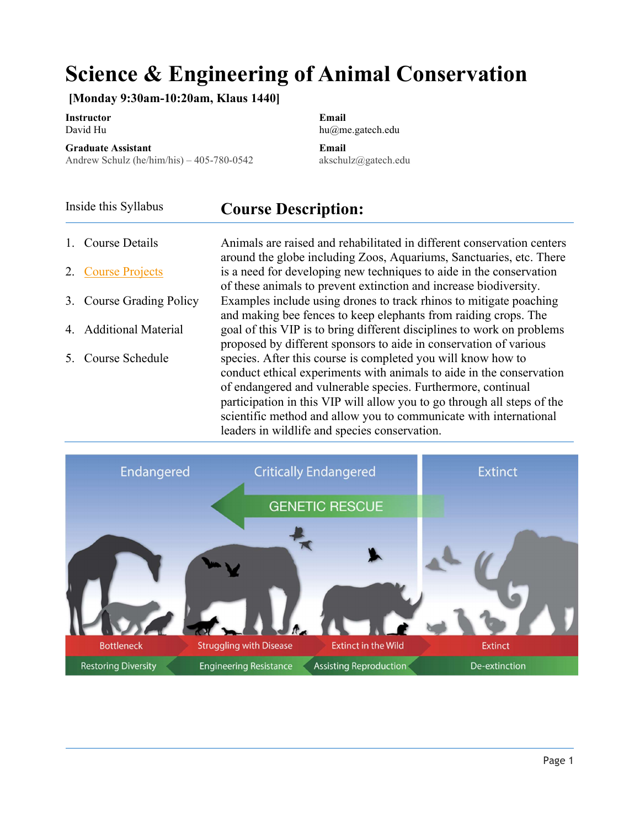# Science & Engineering of Animal Conservation

[Monday 9:30am-10:20am, Klaus 1440]

Instructor **Email** David Hu hu@me.gatech.edu

Graduate Assistant Email

Andrew Schulz (he/him/his) – 405-780-0542 akschulz@gatech.edu

# Inside this Syllabus **Course Description:**

- 1. Course Details
- 2. Course Projects
- 3. Course Grading Policy
- 4. Additional Material
- 5. Course Schedule

Animals are raised and rehabilitated in different conservation centers around the globe including Zoos, Aquariums, Sanctuaries, etc. There is a need for developing new techniques to aide in the conservation of these animals to prevent extinction and increase biodiversity. Examples include using drones to track rhinos to mitigate poaching and making bee fences to keep elephants from raiding crops. The goal of this VIP is to bring different disciplines to work on problems proposed by different sponsors to aide in conservation of various species. After this course is completed you will know how to conduct ethical experiments with animals to aide in the conservation of endangered and vulnerable species. Furthermore, continual participation in this VIP will allow you to go through all steps of the scientific method and allow you to communicate with international leaders in wildlife and species conservation.

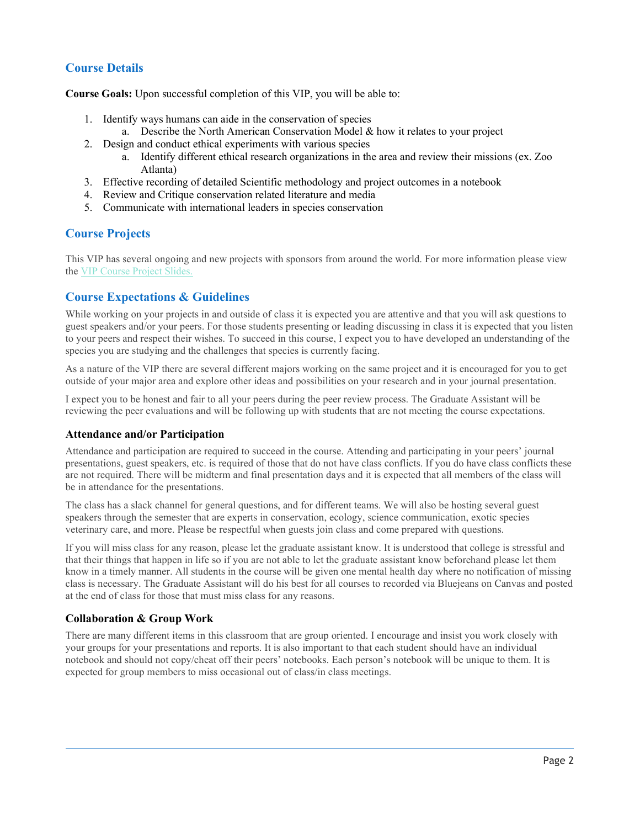# Course Details

Course Goals: Upon successful completion of this VIP, you will be able to:

- 1. Identify ways humans can aide in the conservation of species
	- a. Describe the North American Conservation Model & how it relates to your project
- 2. Design and conduct ethical experiments with various species
	- a. Identify different ethical research organizations in the area and review their missions (ex. Zoo Atlanta)
- 3. Effective recording of detailed Scientific methodology and project outcomes in a notebook
- 4. Review and Critique conservation related literature and media
- 5. Communicate with international leaders in species conservation

# Course Projects

This VIP has several ongoing and new projects with sponsors from around the world. For more information please view the VIP Course Project Slides.

# Course Expectations & Guidelines

While working on your projects in and outside of class it is expected you are attentive and that you will ask questions to guest speakers and/or your peers. For those students presenting or leading discussing in class it is expected that you listen to your peers and respect their wishes. To succeed in this course, I expect you to have developed an understanding of the species you are studying and the challenges that species is currently facing.

As a nature of the VIP there are several different majors working on the same project and it is encouraged for you to get outside of your major area and explore other ideas and possibilities on your research and in your journal presentation.

I expect you to be honest and fair to all your peers during the peer review process. The Graduate Assistant will be reviewing the peer evaluations and will be following up with students that are not meeting the course expectations.

# Attendance and/or Participation

Attendance and participation are required to succeed in the course. Attending and participating in your peers' journal presentations, guest speakers, etc. is required of those that do not have class conflicts. If you do have class conflicts these are not required. There will be midterm and final presentation days and it is expected that all members of the class will be in attendance for the presentations.

The class has a slack channel for general questions, and for different teams. We will also be hosting several guest speakers through the semester that are experts in conservation, ecology, science communication, exotic species veterinary care, and more. Please be respectful when guests join class and come prepared with questions.

If you will miss class for any reason, please let the graduate assistant know. It is understood that college is stressful and that their things that happen in life so if you are not able to let the graduate assistant know beforehand please let them know in a timely manner. All students in the course will be given one mental health day where no notification of missing class is necessary. The Graduate Assistant will do his best for all courses to recorded via Bluejeans on Canvas and posted at the end of class for those that must miss class for any reasons.

# Collaboration & Group Work

There are many different items in this classroom that are group oriented. I encourage and insist you work closely with your groups for your presentations and reports. It is also important to that each student should have an individual notebook and should not copy/cheat off their peers' notebooks. Each person's notebook will be unique to them. It is expected for group members to miss occasional out of class/in class meetings.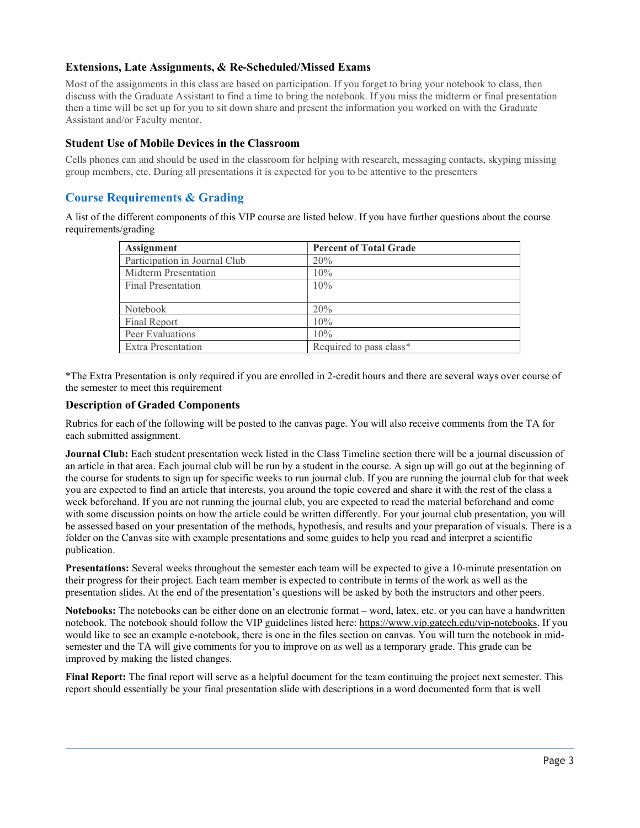# Extensions, Late Assignments, & Re-Scheduled/Missed Exams

Most of the assignments in this class are based on participation. If you forget to bring your notebook to class, then discuss with the Graduate Assistant to find a time to bring the notebook. If you miss the midterm or final presentation then a time will be set up for you to sit down share and present the information you worked on with the Graduate Assistant and/or Faculty mentor.

# Student Use of Mobile Devices in the Classroom

Cells phones can and should be used in the classroom for helping with research, messaging contacts, skyping missing group members, etc. During all presentations it is expected for you to be attentive to the presenters

# Course Requirements & Grading

A list of the different components of this VIP course are listed below. If you have further questions about the course requirements/grading

| Assignment                    | <b>Percent of Total Grade</b> |
|-------------------------------|-------------------------------|
| Participation in Journal Club | 20%                           |
| Midterm Presentation          | 10%                           |
| <b>Final Presentation</b>     | 10%                           |
|                               |                               |
| Notebook                      | 20%                           |
| Final Report                  | 10%                           |
| Peer Evaluations              | 10%                           |
| Extra Presentation            | Required to pass class*       |

\*The Extra Presentation is only required if you are enrolled in 2-credit hours and there are several ways over course of the semester to meet this requirement

#### Description of Graded Components

Rubrics for each of the following will be posted to the canvas page. You will also receive comments from the TA for each submitted assignment.

Journal Club: Each student presentation week listed in the Class Timeline section there will be a journal discussion of an article in that area. Each journal club will be run by a student in the course. A sign up will go out at the beginning of the course for students to sign up for specific weeks to run journal club. If you are running the journal club for that week you are expected to find an article that interests, you around the topic covered and share it with the rest of the class a week beforehand. If you are not running the journal club, you are expected to read the material beforehand and come with some discussion points on how the article could be written differently. For your journal club presentation, you will be assessed based on your presentation of the methods, hypothesis, and results and your preparation of visuals. There is a folder on the Canvas site with example presentations and some guides to help you read and interpret a scientific publication.

Presentations: Several weeks throughout the semester each team will be expected to give a 10-minute presentation on their progress for their project. Each team member is expected to contribute in terms of the work as well as the presentation slides. At the end of the presentation's questions will be asked by both the instructors and other peers.

Notebooks: The notebooks can be either done on an electronic format – word, latex, etc. or you can have a handwritten notebook. The notebook should follow the VIP guidelines listed here: https://www.vip.gatech.edu/vip-notebooks. If you would like to see an example e-notebook, there is one in the files section on canvas. You will turn the notebook in midsemester and the TA will give comments for you to improve on as well as a temporary grade. This grade can be improved by making the listed changes.

Final Report: The final report will serve as a helpful document for the team continuing the project next semester. This report should essentially be your final presentation slide with descriptions in a word documented form that is well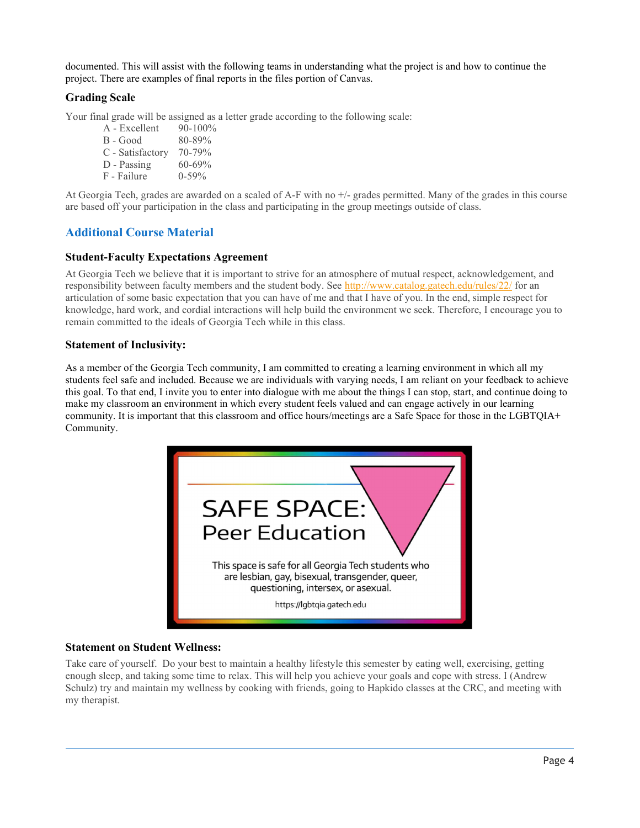documented. This will assist with the following teams in understanding what the project is and how to continue the project. There are examples of final reports in the files portion of Canvas.

# Grading Scale

Your final grade will be assigned as a letter grade according to the following scale:

 $A - Excellent$  90-100%  $B - Good$  80-89% C - Satisfactory 70-79% D - Passing  $60-69\%$  $F$  - Failure  $0-59\%$ 

At Georgia Tech, grades are awarded on a scaled of A-F with no +/- grades permitted. Many of the grades in this course are based off your participation in the class and participating in the group meetings outside of class.

# Additional Course Material

# Student-Faculty Expectations Agreement

At Georgia Tech we believe that it is important to strive for an atmosphere of mutual respect, acknowledgement, and responsibility between faculty members and the student body. See http://www.catalog.gatech.edu/rules/22/ for an articulation of some basic expectation that you can have of me and that I have of you. In the end, simple respect for knowledge, hard work, and cordial interactions will help build the environment we seek. Therefore, I encourage you to remain committed to the ideals of Georgia Tech while in this class.

# Statement of Inclusivity:

As a member of the Georgia Tech community, I am committed to creating a learning environment in which all my students feel safe and included. Because we are individuals with varying needs, I am reliant on your feedback to achieve this goal. To that end, I invite you to enter into dialogue with me about the things I can stop, start, and continue doing to make my classroom an environment in which every student feels valued and can engage actively in our learning community. It is important that this classroom and office hours/meetings are a Safe Space for those in the LGBTQIA+ Community.



# Statement on Student Wellness:

Take care of yourself. Do your best to maintain a healthy lifestyle this semester by eating well, exercising, getting enough sleep, and taking some time to relax. This will help you achieve your goals and cope with stress. I (Andrew Schulz) try and maintain my wellness by cooking with friends, going to Hapkido classes at the CRC, and meeting with my therapist.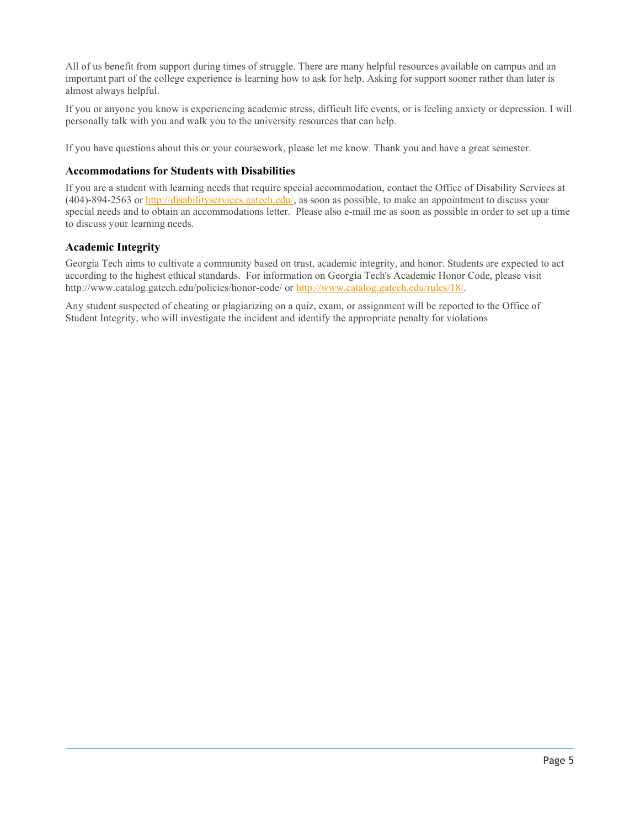All of us benefit from support during times of struggle. There are many helpful resources available on campus and an important part of the college experience is learning how to ask for help. Asking for support sooner rather than later is almost always helpful.

If you or anyone you know is experiencing academic stress, difficult life events, or is feeling anxiety or depression. I will personally talk with you and walk you to the university resources that can help.

If you have questions about this or your coursework, please let me know. Thank you and have a great semester.

### Accommodations for Students with Disabilities

If you are a student with learning needs that require special accommodation, contact the Office of Disability Services at  $(404)$ -894-2563 or http://disabilityservices.gatech.edu/, as soon as possible, to make an appointment to discuss your special needs and to obtain an accommodations letter. Please also e-mail me as soon as possible in order to set up a time to discuss your learning needs.

# Academic Integrity

Georgia Tech aims to cultivate a community based on trust, academic integrity, and honor. Students are expected to act according to the highest ethical standards. For information on Georgia Tech's Academic Honor Code, please visit http://www.catalog.gatech.edu/policies/honor-code/ or http://www.catalog.gatech.edu/rules/18/.

Any student suspected of cheating or plagiarizing on a quiz, exam, or assignment will be reported to the Office of Student Integrity, who will investigate the incident and identify the appropriate penalty for violations